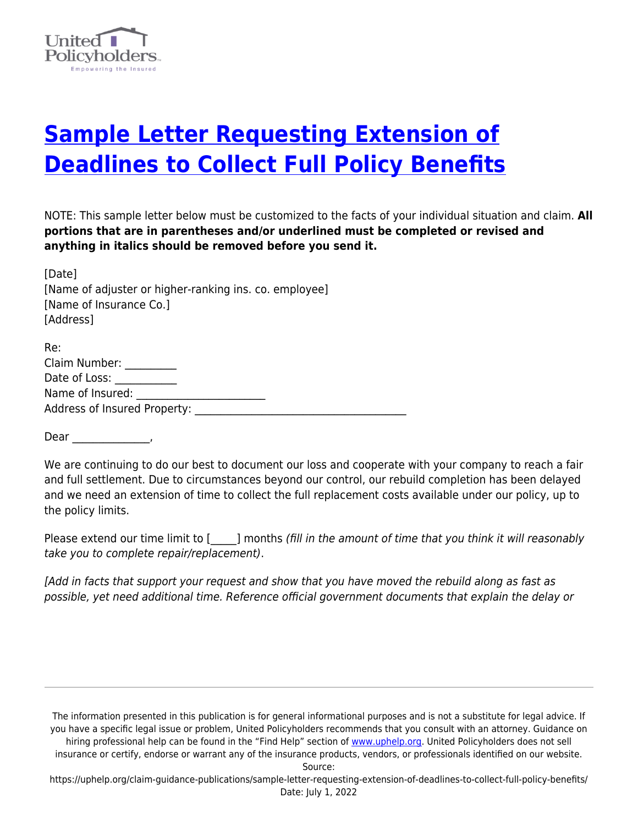

## **[Sample Letter Requesting Extension of](https://uphelp.org/claim-guidance-publications/sample-letter-requesting-extension-of-deadlines-to-collect-full-policy-benefits/) [Deadlines to Collect Full Policy Benefits](https://uphelp.org/claim-guidance-publications/sample-letter-requesting-extension-of-deadlines-to-collect-full-policy-benefits/)**

NOTE: This sample letter below must be customized to the facts of your individual situation and claim. **All portions that are in parentheses and/or underlined must be completed or revised and anything in italics should be removed before you send it.**

| [Date]<br>[Name of adjuster or higher-ranking ins. co. employee]<br>[Name of Insurance Co.]<br>[Address] |
|----------------------------------------------------------------------------------------------------------|
| Re:                                                                                                      |
| Claim Number:                                                                                            |
| Date of Loss:                                                                                            |
| Name of Insured:                                                                                         |
| Address of Insured Property:                                                                             |

Dear \_\_\_\_\_\_\_\_\_\_\_\_\_\_\_,

We are continuing to do our best to document our loss and cooperate with your company to reach a fair and full settlement. Due to circumstances beyond our control, our rebuild completion has been delayed and we need an extension of time to collect the full replacement costs available under our policy, up to the policy limits.

Please extend our time limit to [  $\Box$ ] months (fill in the amount of time that you think it will reasonably take you to complete repair/replacement).

[Add in facts that support your request and show that you have moved the rebuild along as fast as possible, yet need additional time. Reference official government documents that explain the delay or

The information presented in this publication is for general informational purposes and is not a substitute for legal advice. If you have a specific legal issue or problem, United Policyholders recommends that you consult with an attorney. Guidance on hiring professional help can be found in the "Find Help" section of [www.uphelp.org.](http://www.uphelp.org/) United Policyholders does not sell insurance or certify, endorse or warrant any of the insurance products, vendors, or professionals identified on our website.

Source:

https://uphelp.org/claim-guidance-publications/sample-letter-requesting-extension-of-deadlines-to-collect-full-policy-benefits/ Date: July 1, 2022